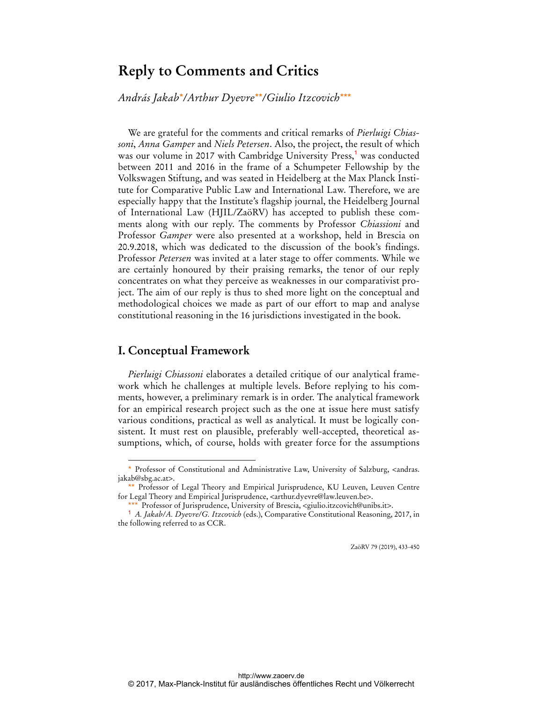# **Reply to Comments and Critics**

*András Jakab*\**/Arthur Dyevre*\*\**/Giulio Itzcovich*\*\*\*

We are grateful for the comments and critical remarks of *Pierluigi Chiassoni*, *Anna Gamper* and *Niels Petersen*. Also, the project, the result of which was our volume in 2017 with Cambridge University Press,<sup>1</sup> was conducted between 2011 and 2016 in the frame of a Schumpeter Fellowship by the Volkswagen Stiftung, and was seated in Heidelberg at the Max Planck Institute for Comparative Public Law and International Law. Therefore, we are especially happy that the Institute's flagship journal, the Heidelberg Journal of International Law (HJIL/ZaöRV) has accepted to publish these comments along with our reply. The comments by Professor *Chiassioni* and Professor *Gamper* were also presented at a workshop, held in Brescia on 20.9.2018, which was dedicated to the discussion of the book's findings. Professor *Petersen* was invited at a later stage to offer comments. While we are certainly honoured by their praising remarks, the tenor of our reply concentrates on what they perceive as weaknesses in our comparativist project. The aim of our reply is thus to shed more light on the conceptual and methodological choices we made as part of our effort to map and analyse constitutional reasoning in the 16 jurisdictions investigated in the book.

### **I. Conceptual Framework**

 $\overline{a}$ 

*Pierluigi Chiassoni* elaborates a detailed critique of our analytical framework which he challenges at multiple levels. Before replying to his comments, however, a preliminary remark is in order. The analytical framework for an empirical research project such as the one at issue here must satisfy various conditions, practical as well as analytical. It must be logically consistent. It must rest on plausible, preferably well-accepted, theoretical assumptions, which, of course, holds with greater force for the assumptions

ZaöRV 79 (2019), 433-450

<sup>\*</sup> Professor of Constitutional and Administrative Law, University of Salzburg, <andras. jakab@sbg.ac.at>.

<sup>\*\*</sup> Professor of Legal Theory and Empirical Jurisprudence, KU Leuven, Leuven Centre for Legal Theory and Empirical Jurisprudence, <arthur.dyevre@law.leuven.be>.

<sup>\*</sup> Professor of Jurisprudence, University of Brescia, <giulio.itzcovich@unibs.it>.

<sup>1</sup> *A. Jakab/A. Dyevre/G. Itzcovich* (eds.), Comparative Constitutional Reasoning, 2017, in the following referred to as CCR.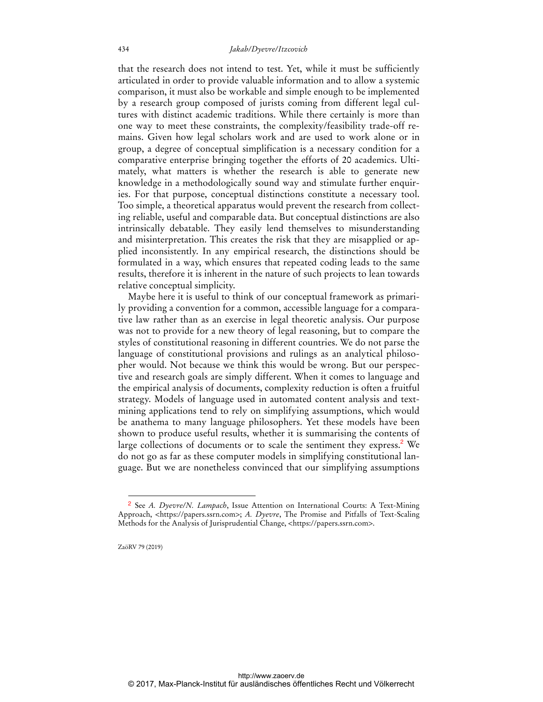that the research does not intend to test. Yet, while it must be sufficiently articulated in order to provide valuable information and to allow a systemic comparison, it must also be workable and simple enough to be implemented by a research group composed of jurists coming from different legal cultures with distinct academic traditions. While there certainly is more than one way to meet these constraints, the complexity/feasibility trade-off remains. Given how legal scholars work and are used to work alone or in group, a degree of conceptual simplification is a necessary condition for a comparative enterprise bringing together the efforts of 20 academics. Ultimately, what matters is whether the research is able to generate new knowledge in a methodologically sound way and stimulate further enquiries. For that purpose, conceptual distinctions constitute a necessary tool. Too simple, a theoretical apparatus would prevent the research from collecting reliable, useful and comparable data. But conceptual distinctions are also intrinsically debatable. They easily lend themselves to misunderstanding and misinterpretation. This creates the risk that they are misapplied or applied inconsistently. In any empirical research, the distinctions should be formulated in a way, which ensures that repeated coding leads to the same results, therefore it is inherent in the nature of such projects to lean towards relative conceptual simplicity.

Maybe here it is useful to think of our conceptual framework as primarily providing a convention for a common, accessible language for a comparative law rather than as an exercise in legal theoretic analysis. Our purpose was not to provide for a new theory of legal reasoning, but to compare the styles of constitutional reasoning in different countries. We do not parse the language of constitutional provisions and rulings as an analytical philosopher would. Not because we think this would be wrong. But our perspective and research goals are simply different. When it comes to language and the empirical analysis of documents, complexity reduction is often a fruitful strategy. Models of language used in automated content analysis and textmining applications tend to rely on simplifying assumptions, which would be anathema to many language philosophers. Yet these models have been shown to produce useful results, whether it is summarising the contents of large collections of documents or to scale the sentiment they express.<sup>2</sup> We do not go as far as these computer models in simplifying constitutional language. But we are nonetheless convinced that our simplifying assumptions

ZaöRV 79 (2019)

<sup>2</sup> See *A. Dyevre/N. Lampach*, Issue Attention on International Courts: A Text-Mining Approach, <https://papers.ssrn.com>; *A. Dyevre*, The Promise and Pitfalls of Text-Scaling Methods for the Analysis of Jurisprudential Change, <https://papers.ssrn.com>.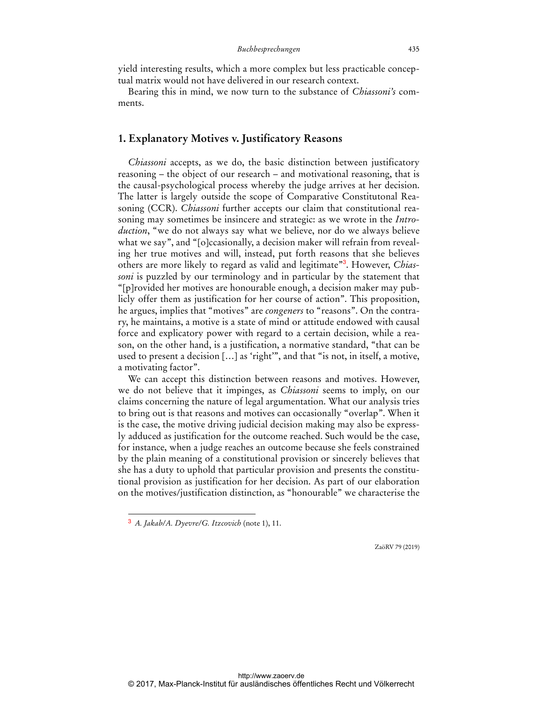yield interesting results, which a more complex but less practicable conceptual matrix would not have delivered in our research context.

Bearing this in mind, we now turn to the substance of *Chiassoni's* comments.

#### **1. Explanatory Motives v. Justificatory Reasons**

*Chiassoni* accepts, as we do, the basic distinction between justificatory reasoning – the object of our research – and motivational reasoning, that is the causal-psychological process whereby the judge arrives at her decision. The latter is largely outside the scope of Comparative Constitutonal Reasoning (CCR). *Chiassoni* further accepts our claim that constitutional reasoning may sometimes be insincere and strategic: as we wrote in the *Introduction*, "we do not always say what we believe, nor do we always believe what we say", and "[o]ccasionally, a decision maker will refrain from revealing her true motives and will, instead, put forth reasons that she believes others are more likely to regard as valid and legitimate"<sup>3</sup> . However, *Chiassoni* is puzzled by our terminology and in particular by the statement that "[p]rovided her motives are honourable enough, a decision maker may publicly offer them as justification for her course of action". This proposition, he argues, implies that "motives" are *congeners* to "reasons". On the contrary, he maintains, a motive is a state of mind or attitude endowed with causal force and explicatory power with regard to a certain decision, while a reason, on the other hand, is a justification, a normative standard, "that can be used to present a decision […] as 'right'", and that "is not, in itself, a motive, a motivating factor".

We can accept this distinction between reasons and motives. However, we do not believe that it impinges, as *Chiassoni* seems to imply, on our claims concerning the nature of legal argumentation. What our analysis tries to bring out is that reasons and motives can occasionally "overlap". When it is the case, the motive driving judicial decision making may also be expressly adduced as justification for the outcome reached. Such would be the case, for instance, when a judge reaches an outcome because she feels constrained by the plain meaning of a constitutional provision or sincerely believes that she has a duty to uphold that particular provision and presents the constitutional provision as justification for her decision. As part of our elaboration on the motives/justification distinction, as "honourable" we characterise the

 $\ddot{ }$ 

<sup>3</sup> *A. Jakab/A. Dyevre/G. Itzcovich* (note 1), 11.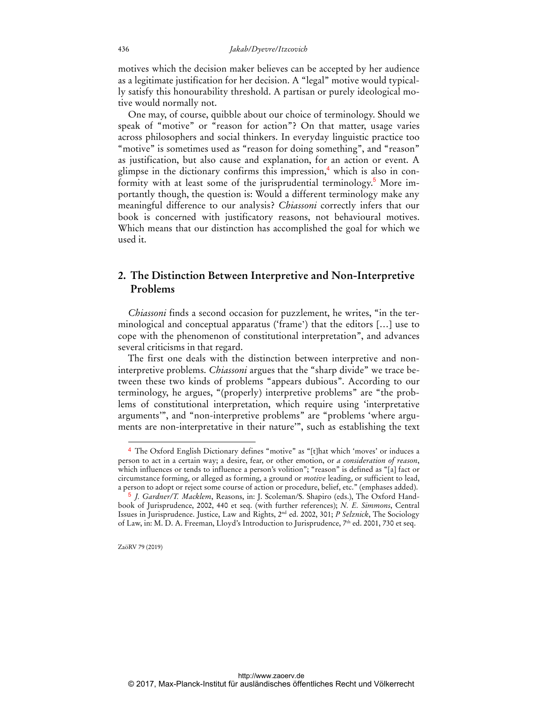motives which the decision maker believes can be accepted by her audience as a legitimate justification for her decision. A "legal" motive would typically satisfy this honourability threshold. A partisan or purely ideological motive would normally not.

One may, of course, quibble about our choice of terminology. Should we speak of "motive" or "reason for action"? On that matter, usage varies across philosophers and social thinkers. In everyday linguistic practice too "motive" is sometimes used as "reason for doing something", and "reason" as justification, but also cause and explanation, for an action or event. A glimpse in the dictionary confirms this impression,<sup>4</sup> which is also in conformity with at least some of the jurisprudential terminology.<sup>5</sup> More importantly though, the question is: Would a different terminology make any meaningful difference to our analysis? *Chiassoni* correctly infers that our book is concerned with justificatory reasons, not behavioural motives. Which means that our distinction has accomplished the goal for which we used it.

### **2. The Distinction Between Interpretive and Non-Interpretive Problems**

*Chiassoni* finds a second occasion for puzzlement, he writes, "in the terminological and conceptual apparatus ('frame') that the editors […] use to cope with the phenomenon of constitutional interpretation", and advances several criticisms in that regard.

The first one deals with the distinction between interpretive and noninterpretive problems. *Chiassoni* argues that the "sharp divide" we trace between these two kinds of problems "appears dubious". According to our terminology, he argues, "(properly) interpretive problems" are "the problems of constitutional interpretation, which require using 'interpretative arguments'", and "non-interpretive problems" are "problems 'where arguments are non-interpretative in their nature'", such as establishing the text

<sup>4</sup> The Oxford English Dictionary defines "motive" as "[t]hat which 'moves' or induces a person to act in a certain way; a desire, fear, or other emotion, or *a consideration of reason*, which influences or tends to influence a person's volition"; "reason" is defined as "[a] fact or circumstance forming, or alleged as forming, a ground or *motive* leading, or sufficient to lead, a person to adopt or reject some course of action or procedure, belief, etc." (emphases added).

<sup>5</sup> *J. Gardner/T. Macklem*, Reasons, in: J. Scoleman/S. Shapiro (eds.), The Oxford Handbook of Jurisprudence, 2002, 440 et seq. (with further references); *N. E. Simmons*, Central Issues in Jurisprudence. Justice, Law and Rights, 2nd ed. 2002, 301; *P Selznick*, The Sociology of Law, in: M. D. A. Freeman, Lloyd's Introduction to Jurisprudence, 7<sup>th</sup> ed. 2001, 730 et seq.

ZaöRV 79 (2019)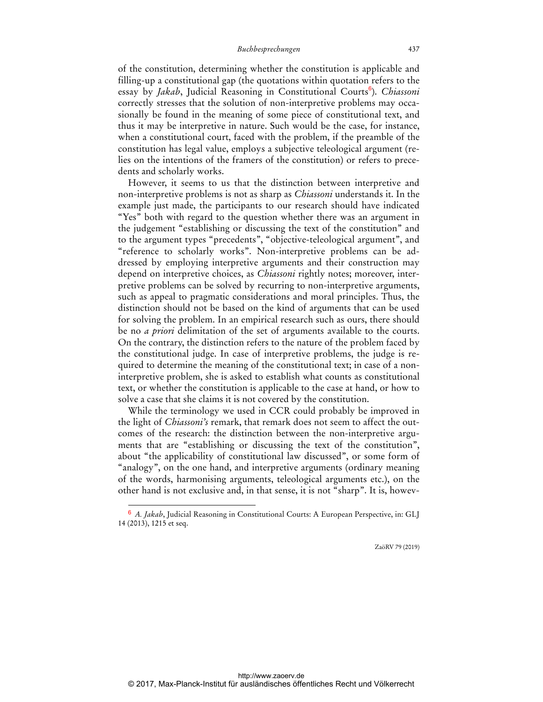of the constitution, determining whether the constitution is applicable and filling-up a constitutional gap (the quotations within quotation refers to the essay by *Jakab*, Judicial Reasoning in Constitutional Courts<sup>6</sup>). Chiassoni correctly stresses that the solution of non-interpretive problems may occasionally be found in the meaning of some piece of constitutional text, and thus it may be interpretive in nature. Such would be the case, for instance, when a constitutional court, faced with the problem, if the preamble of the constitution has legal value, employs a subjective teleological argument (relies on the intentions of the framers of the constitution) or refers to precedents and scholarly works.

However, it seems to us that the distinction between interpretive and non-interpretive problems is not as sharp as *Chiassoni* understands it. In the example just made, the participants to our research should have indicated "Yes" both with regard to the question whether there was an argument in the judgement "establishing or discussing the text of the constitution" and to the argument types "precedents", "objective-teleological argument", and "reference to scholarly works". Non-interpretive problems can be addressed by employing interpretive arguments and their construction may depend on interpretive choices, as *Chiassoni* rightly notes; moreover, interpretive problems can be solved by recurring to non-interpretive arguments, such as appeal to pragmatic considerations and moral principles. Thus, the distinction should not be based on the kind of arguments that can be used for solving the problem. In an empirical research such as ours, there should be no *a priori* delimitation of the set of arguments available to the courts. On the contrary, the distinction refers to the nature of the problem faced by the constitutional judge. In case of interpretive problems, the judge is required to determine the meaning of the constitutional text; in case of a noninterpretive problem, she is asked to establish what counts as constitutional text, or whether the constitution is applicable to the case at hand, or how to solve a case that she claims it is not covered by the constitution.

While the terminology we used in CCR could probably be improved in the light of *Chiassoni's* remark, that remark does not seem to affect the outcomes of the research: the distinction between the non-interpretive arguments that are "establishing or discussing the text of the constitution", about "the applicability of constitutional law discussed", or some form of "analogy", on the one hand, and interpretive arguments (ordinary meaning of the words, harmonising arguments, teleological arguments etc.), on the other hand is not exclusive and, in that sense, it is not "sharp". It is, howev-

 $\ddot{ }$ 

<sup>6</sup> *A. Jakab*, Judicial Reasoning in Constitutional Courts: A European Perspective, in: GLJ 14 (2013), 1215 et seq.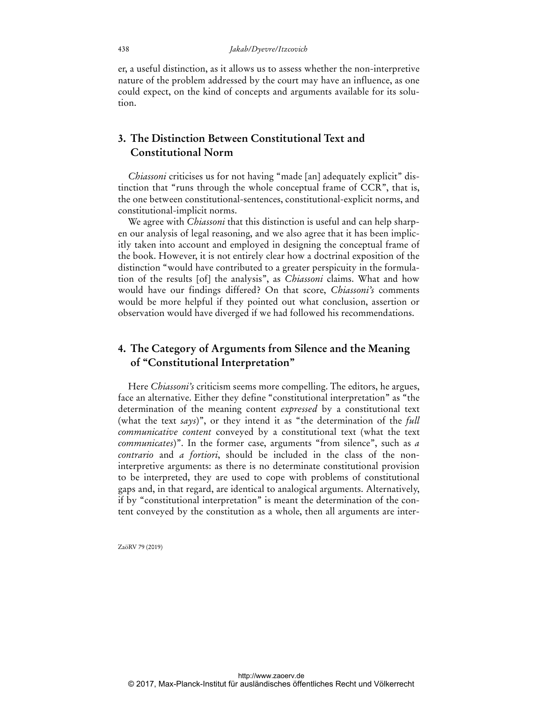er, a useful distinction, as it allows us to assess whether the non-interpretive nature of the problem addressed by the court may have an influence, as one could expect, on the kind of concepts and arguments available for its solution.

# **3. The Distinction Between Constitutional Text and Constitutional Norm**

*Chiassoni* criticises us for not having "made [an] adequately explicit" distinction that "runs through the whole conceptual frame of CCR", that is, the one between constitutional-sentences, constitutional-explicit norms, and constitutional-implicit norms.

We agree with *Chiassoni* that this distinction is useful and can help sharpen our analysis of legal reasoning, and we also agree that it has been implicitly taken into account and employed in designing the conceptual frame of the book. However, it is not entirely clear how a doctrinal exposition of the distinction "would have contributed to a greater perspicuity in the formulation of the results [of] the analysis", as *Chiassoni* claims. What and how would have our findings differed? On that score, *Chiassoni's* comments would be more helpful if they pointed out what conclusion, assertion or observation would have diverged if we had followed his recommendations.

# **4. The Category of Arguments from Silence and the Meaning of "Constitutional Interpretation"**

Here *Chiassoni's* criticism seems more compelling. The editors, he argues, face an alternative. Either they define "constitutional interpretation" as "the determination of the meaning content *expressed* by a constitutional text (what the text *says*)", or they intend it as "the determination of the *full communicative content* conveyed by a constitutional text (what the text *communicates*)". In the former case, arguments "from silence", such as *a contrario* and *a fortiori*, should be included in the class of the noninterpretive arguments: as there is no determinate constitutional provision to be interpreted, they are used to cope with problems of constitutional gaps and, in that regard, are identical to analogical arguments. Alternatively, if by "constitutional interpretation" is meant the determination of the content conveyed by the constitution as a whole, then all arguments are inter-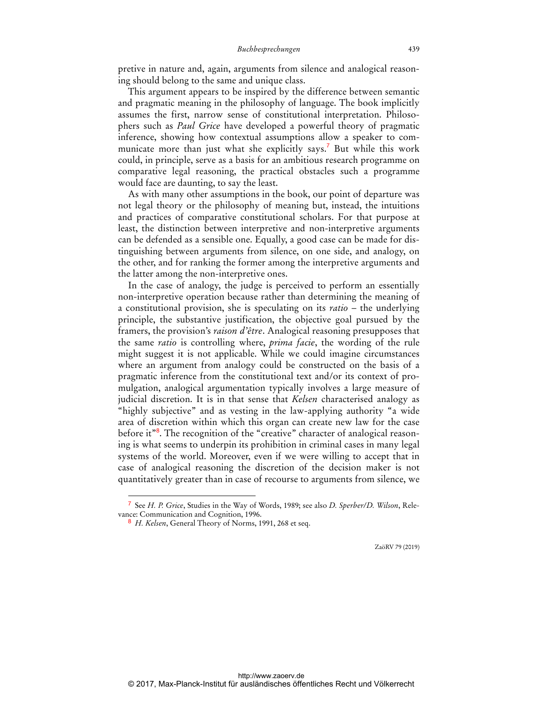pretive in nature and, again, arguments from silence and analogical reasoning should belong to the same and unique class.

This argument appears to be inspired by the difference between semantic and pragmatic meaning in the philosophy of language. The book implicitly assumes the first, narrow sense of constitutional interpretation. Philosophers such as *Paul Grice* have developed a powerful theory of pragmatic inference, showing how contextual assumptions allow a speaker to communicate more than just what she explicitly says.<sup>7</sup> But while this work could, in principle, serve as a basis for an ambitious research programme on comparative legal reasoning, the practical obstacles such a programme would face are daunting, to say the least.

As with many other assumptions in the book, our point of departure was not legal theory or the philosophy of meaning but, instead, the intuitions and practices of comparative constitutional scholars. For that purpose at least, the distinction between interpretive and non-interpretive arguments can be defended as a sensible one. Equally, a good case can be made for distinguishing between arguments from silence, on one side, and analogy, on the other, and for ranking the former among the interpretive arguments and the latter among the non-interpretive ones.

In the case of analogy, the judge is perceived to perform an essentially non-interpretive operation because rather than determining the meaning of a constitutional provision, she is speculating on its *ratio* – the underlying principle, the substantive justification, the objective goal pursued by the framers, the provision's *raison d'être*. Analogical reasoning presupposes that the same *ratio* is controlling where, *prima facie*, the wording of the rule might suggest it is not applicable. While we could imagine circumstances where an argument from analogy could be constructed on the basis of a pragmatic inference from the constitutional text and/or its context of promulgation, analogical argumentation typically involves a large measure of judicial discretion. It is in that sense that *Kelsen* characterised analogy as "highly subjective" and as vesting in the law-applying authority "a wide area of discretion within which this organ can create new law for the case before it<sup>38</sup>. The recognition of the "creative" character of analogical reasoning is what seems to underpin its prohibition in criminal cases in many legal systems of the world. Moreover, even if we were willing to accept that in case of analogical reasoning the discretion of the decision maker is not quantitatively greater than in case of recourse to arguments from silence, we

 $\overline{a}$ 

<sup>7</sup> See *H. P. Grice*, Studies in the Way of Words, 1989; see also *D. Sperber/D. Wilson*, Relevance: Communication and Cognition, 1996.

<sup>8</sup> *H. Kelsen*, General Theory of Norms, 1991, 268 et seq.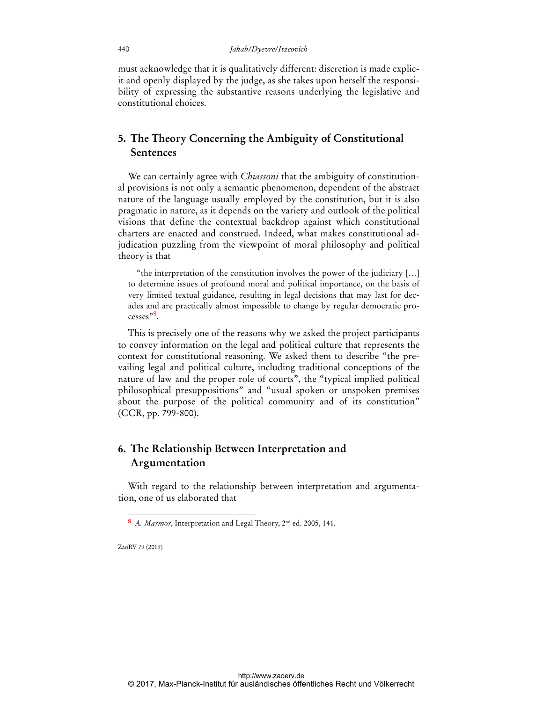must acknowledge that it is qualitatively different: discretion is made explicit and openly displayed by the judge, as she takes upon herself the responsibility of expressing the substantive reasons underlying the legislative and constitutional choices.

# **5. The Theory Concerning the Ambiguity of Constitutional Sentences**

We can certainly agree with *Chiassoni* that the ambiguity of constitutional provisions is not only a semantic phenomenon, dependent of the abstract nature of the language usually employed by the constitution, but it is also pragmatic in nature, as it depends on the variety and outlook of the political visions that define the contextual backdrop against which constitutional charters are enacted and construed. Indeed, what makes constitutional adjudication puzzling from the viewpoint of moral philosophy and political theory is that

"the interpretation of the constitution involves the power of the judiciary […] to determine issues of profound moral and political importance, on the basis of very limited textual guidance, resulting in legal decisions that may last for decades and are practically almost impossible to change by regular democratic processes"<sup>9</sup>.

This is precisely one of the reasons why we asked the project participants to convey information on the legal and political culture that represents the context for constitutional reasoning. We asked them to describe "the prevailing legal and political culture, including traditional conceptions of the nature of law and the proper role of courts", the "typical implied political philosophical presuppositions" and "usual spoken or unspoken premises about the purpose of the political community and of its constitution" (CCR, pp. 799-800).

# **6. The Relationship Between Interpretation and Argumentation**

With regard to the relationship between interpretation and argumentation, one of us elaborated that

ZaöRV 79 (2019)

 $\ddot{ }$ 

<sup>&</sup>lt;sup>9</sup> *A. Marmor*, Interpretation and Legal Theory, 2<sup>nd</sup> ed. 2005, 141.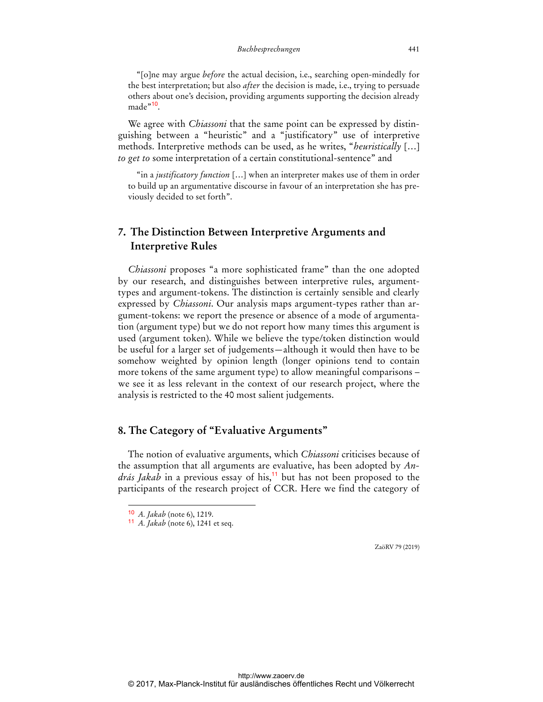"[o]ne may argue *before* the actual decision, i.e., searching open-mindedly for the best interpretation; but also *after* the decision is made, i.e., trying to persuade others about one's decision, providing arguments supporting the decision already  $made''<sup>10</sup>$ .

We agree with *Chiassoni* that the same point can be expressed by distinguishing between a "heuristic" and a "justificatory" use of interpretive methods. Interpretive methods can be used, as he writes, "*heuristically* […] *to get to* some interpretation of a certain constitutional-sentence" and

"in a *justificatory function* […] when an interpreter makes use of them in order to build up an argumentative discourse in favour of an interpretation she has previously decided to set forth".

# **7. The Distinction Between Interpretive Arguments and Interpretive Rules**

*Chiassoni* proposes "a more sophisticated frame" than the one adopted by our research, and distinguishes between interpretive rules, argumenttypes and argument-tokens. The distinction is certainly sensible and clearly expressed by *Chiassoni*. Our analysis maps argument-types rather than argument-tokens: we report the presence or absence of a mode of argumentation (argument type) but we do not report how many times this argument is used (argument token). While we believe the type/token distinction would be useful for a larger set of judgements—although it would then have to be somehow weighted by opinion length (longer opinions tend to contain more tokens of the same argument type) to allow meaningful comparisons – we see it as less relevant in the context of our research project, where the analysis is restricted to the 40 most salient judgements.

### **8. The Category of "Evaluative Arguments"**

The notion of evaluative arguments, which *Chiassoni* criticises because of the assumption that all arguments are evaluative, has been adopted by *András Jakab* in a previous essay of his,<sup>11</sup> but has not been proposed to the participants of the research project of CCR. Here we find the category of

 $\ddot{ }$ 

<sup>10</sup> *A. Jakab* (note 6), 1219.

<sup>11</sup> *A. Jakab* (note 6), 1241 et seq.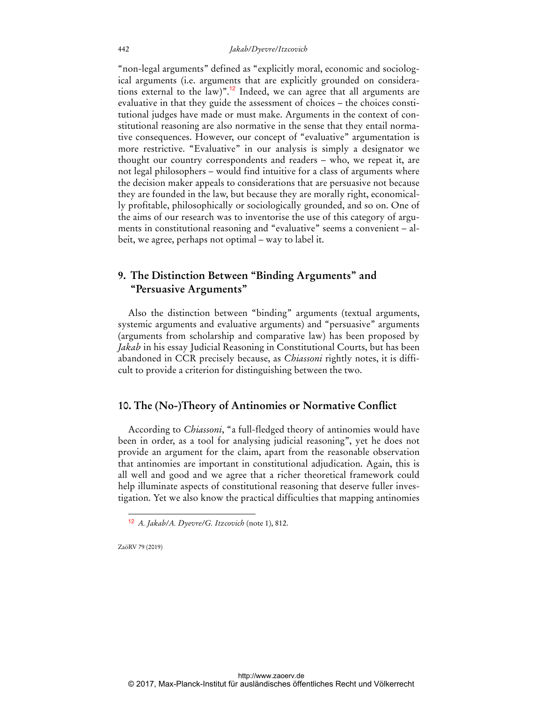"non-legal arguments" defined as "explicitly moral, economic and sociological arguments (i.e. arguments that are explicitly grounded on considerations external to the law)".<sup>12</sup> Indeed, we can agree that all arguments are evaluative in that they guide the assessment of choices – the choices constitutional judges have made or must make. Arguments in the context of constitutional reasoning are also normative in the sense that they entail normative consequences. However, our concept of "evaluative" argumentation is more restrictive. "Evaluative" in our analysis is simply a designator we thought our country correspondents and readers – who, we repeat it, are not legal philosophers – would find intuitive for a class of arguments where the decision maker appeals to considerations that are persuasive not because they are founded in the law, but because they are morally right, economically profitable, philosophically or sociologically grounded, and so on. One of the aims of our research was to inventorise the use of this category of arguments in constitutional reasoning and "evaluative" seems a convenient – albeit, we agree, perhaps not optimal – way to label it.

# **9. The Distinction Between "Binding Arguments" and "Persuasive Arguments"**

Also the distinction between "binding" arguments (textual arguments, systemic arguments and evaluative arguments) and "persuasive" arguments (arguments from scholarship and comparative law) has been proposed by *Jakab* in his essay Judicial Reasoning in Constitutional Courts, but has been abandoned in CCR precisely because, as *Chiassoni* rightly notes, it is difficult to provide a criterion for distinguishing between the two.

### **10. The (No-)Theory of Antinomies or Normative Conflict**

According to *Chiassoni*, "a full-fledged theory of antinomies would have been in order, as a tool for analysing judicial reasoning", yet he does not provide an argument for the claim, apart from the reasonable observation that antinomies are important in constitutional adjudication. Again, this is all well and good and we agree that a richer theoretical framework could help illuminate aspects of constitutional reasoning that deserve fuller investigation. Yet we also know the practical difficulties that mapping antinomies

ZaöRV 79 (2019)

 $\ddot{ }$ 

<sup>12</sup> *A. Jakab/A. Dyevre/G. Itzcovich* (note 1), 812.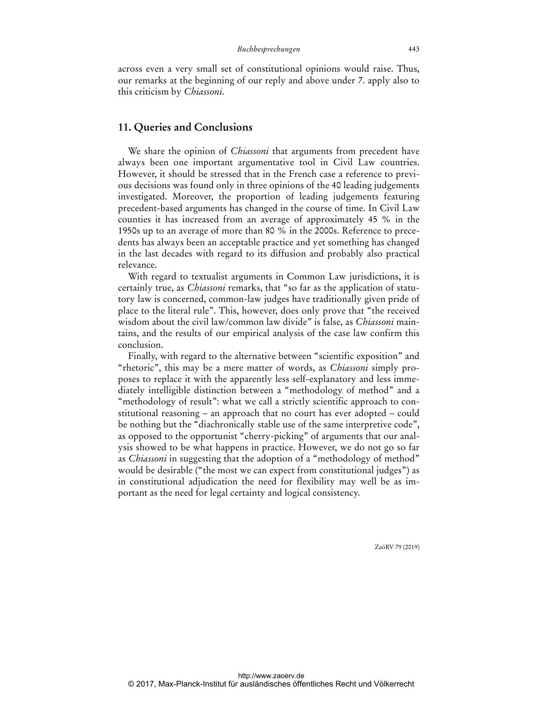across even a very small set of constitutional opinions would raise. Thus, our remarks at the beginning of our reply and above under 7. apply also to this criticism by *Chiassoni*.

### **11. Queries and Conclusions**

We share the opinion of *Chiassoni* that arguments from precedent have always been one important argumentative tool in Civil Law countries. However, it should be stressed that in the French case a reference to previous decisions was found only in three opinions of the 40 leading judgements investigated. Moreover, the proportion of leading judgements featuring precedent-based arguments has changed in the course of time. In Civil Law counties it has increased from an average of approximately 45 % in the 1950s up to an average of more than 80 % in the 2000s. Reference to precedents has always been an acceptable practice and yet something has changed in the last decades with regard to its diffusion and probably also practical relevance.

With regard to textualist arguments in Common Law jurisdictions, it is certainly true, as *Chiassoni* remarks, that "so far as the application of statutory law is concerned, common-law judges have traditionally given pride of place to the literal rule". This, however, does only prove that "the received wisdom about the civil law/common law divide" is false, as *Chiassoni* maintains, and the results of our empirical analysis of the case law confirm this conclusion.

Finally, with regard to the alternative between "scientific exposition" and "rhetoric", this may be a mere matter of words, as *Chiassoni* simply proposes to replace it with the apparently less self-explanatory and less immediately intelligible distinction between a "methodology of method" and a "methodology of result": what we call a strictly scientific approach to constitutional reasoning – an approach that no court has ever adopted – could be nothing but the "diachronically stable use of the same interpretive code", as opposed to the opportunist "cherry-picking" of arguments that our analysis showed to be what happens in practice. However, we do not go so far as *Chiassoni* in suggesting that the adoption of a "methodology of method" would be desirable ("the most we can expect from constitutional judges") as in constitutional adjudication the need for flexibility may well be as important as the need for legal certainty and logical consistency.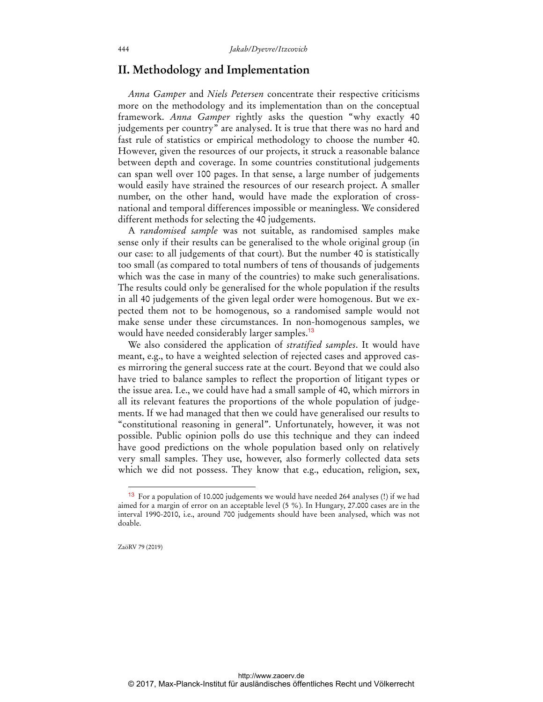### **II. Methodology and Implementation**

*Anna Gamper* and *Niels Petersen* concentrate their respective criticisms more on the methodology and its implementation than on the conceptual framework. *Anna Gamper* rightly asks the question "why exactly 40 judgements per country" are analysed. It is true that there was no hard and fast rule of statistics or empirical methodology to choose the number 40. However, given the resources of our projects, it struck a reasonable balance between depth and coverage. In some countries constitutional judgements can span well over 100 pages. In that sense, a large number of judgements would easily have strained the resources of our research project. A smaller number, on the other hand, would have made the exploration of crossnational and temporal differences impossible or meaningless. We considered different methods for selecting the 40 judgements.

A *randomised sample* was not suitable, as randomised samples make sense only if their results can be generalised to the whole original group (in our case: to all judgements of that court). But the number 40 is statistically too small (as compared to total numbers of tens of thousands of judgements which was the case in many of the countries) to make such generalisations. The results could only be generalised for the whole population if the results in all 40 judgements of the given legal order were homogenous. But we expected them not to be homogenous, so a randomised sample would not make sense under these circumstances. In non-homogenous samples, we would have needed considerably larger samples.<sup>13</sup>

We also considered the application of *stratified samples*. It would have meant, e.g., to have a weighted selection of rejected cases and approved cases mirroring the general success rate at the court. Beyond that we could also have tried to balance samples to reflect the proportion of litigant types or the issue area. I.e., we could have had a small sample of 40, which mirrors in all its relevant features the proportions of the whole population of judgements. If we had managed that then we could have generalised our results to "constitutional reasoning in general". Unfortunately, however, it was not possible. Public opinion polls do use this technique and they can indeed have good predictions on the whole population based only on relatively very small samples. They use, however, also formerly collected data sets which we did not possess. They know that e.g., education, religion, sex,

ZaöRV 79 (2019)

<sup>13</sup> For a population of 10.000 judgements we would have needed 264 analyses (!) if we had aimed for a margin of error on an acceptable level (5 %). In Hungary, 27.000 cases are in the interval 1990-2010, i.e., around 700 judgements should have been analysed, which was not doable.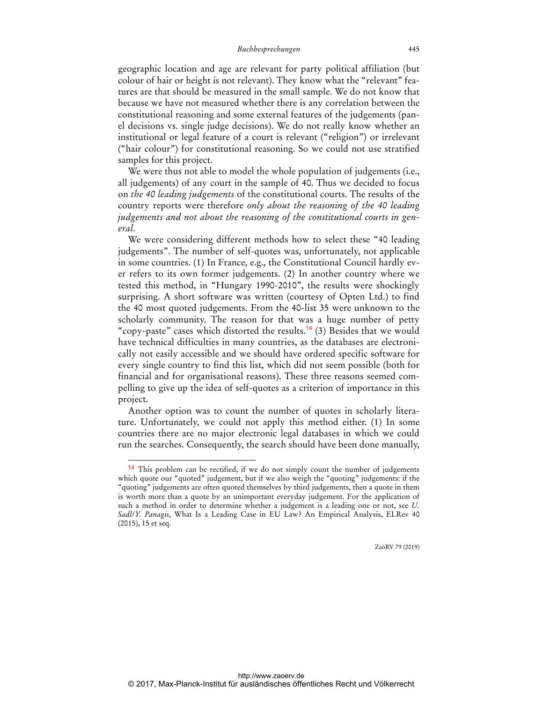geographic location and age are relevant for party political affiliation (but colour of hair or height is not relevant). They know what the "relevant" features are that should be measured in the small sample. We do not know that because we have not measured whether there is any correlation between the constitutional reasoning and some external features of the judgements (panel decisions vs. single judge decisions). We do not really know whether an institutional or legal feature of a court is relevant ("religion") or irrelevant ("hair colour") for constitutional reasoning. So we could not use stratified samples for this project.

We were thus not able to model the whole population of judgements (i.e., all judgements) of any court in the sample of 40. Thus we decided to focus on *the 40 leading judgements* of the constitutional courts. The results of the country reports were therefore *only about the reasoning of the 40 leading judgements and not about the reasoning of the constitutional courts in general*.

We were considering different methods how to select these "40 leading judgements". The number of self-quotes was, unfortunately, not applicable in some countries. (1) In France, e.g., the Constitutional Council hardly ever refers to its own former judgements. (2) In another country where we tested this method, in "Hungary 1990-2010", the results were shockingly surprising. A short software was written (courtesy of Opten Ltd.) to find the 40 most quoted judgements. From the 40-list 35 were unknown to the scholarly community. The reason for that was a huge number of petty "copy-paste" cases which distorted the results.<sup>14</sup> (3) Besides that we would have technical difficulties in many countries, as the databases are electronically not easily accessible and we should have ordered specific software for every single country to find this list, which did not seem possible (both for financial and for organisational reasons). These three reasons seemed compelling to give up the idea of self-quotes as a criterion of importance in this project.

Another option was to count the number of quotes in scholarly literature. Unfortunately, we could not apply this method either. (1) In some countries there are no major electronic legal databases in which we could run the searches. Consequently, the search should have been done manually,

 $\overline{a}$ 

<sup>14</sup> This problem can be rectified, if we do not simply count the number of judgements which quote our "quoted" judgement, but if we also weigh the "quoting" judgements: if the "quoting" judgements are often quoted themselves by third judgements, then a quote in them is worth more than a quote by an unimportant everyday judgement. For the application of such a method in order to determine whether a judgement is a leading one or not, see *U. Sadl/Y. Panagis*, What Is a Leading Case in EU Law? An Empirical Analysis, ELRev 40 (2015), 15 et seq.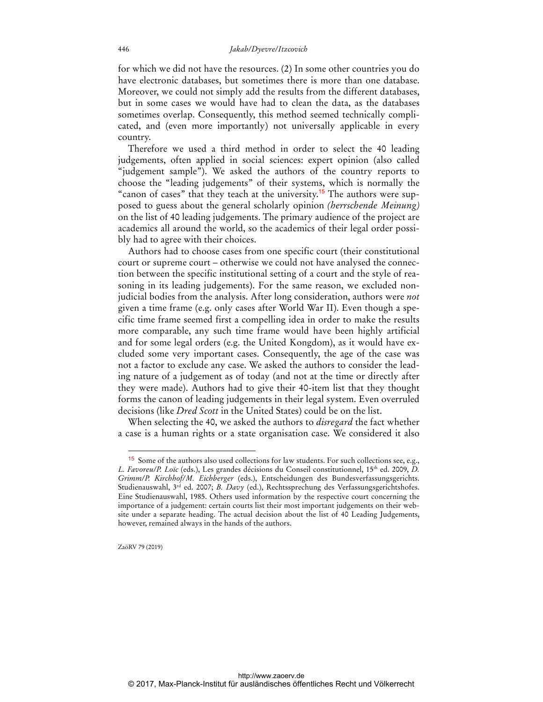for which we did not have the resources. (2) In some other countries you do have electronic databases, but sometimes there is more than one database. Moreover, we could not simply add the results from the different databases, but in some cases we would have had to clean the data, as the databases sometimes overlap. Consequently, this method seemed technically complicated, and (even more importantly) not universally applicable in every country.

Therefore we used a third method in order to select the 40 leading judgements, often applied in social sciences: expert opinion (also called "judgement sample"). We asked the authors of the country reports to choose the "leading judgements" of their systems, which is normally the "canon of cases" that they teach at the university.<sup>15</sup> The authors were supposed to guess about the general scholarly opinion *(herrschende Meinung)* on the list of 40 leading judgements. The primary audience of the project are academics all around the world, so the academics of their legal order possibly had to agree with their choices.

Authors had to choose cases from one specific court (their constitutional court or supreme court – otherwise we could not have analysed the connection between the specific institutional setting of a court and the style of reasoning in its leading judgements). For the same reason, we excluded nonjudicial bodies from the analysis. After long consideration, authors were *not* given a time frame (e.g. only cases after World War II). Even though a specific time frame seemed first a compelling idea in order to make the results more comparable, any such time frame would have been highly artificial and for some legal orders (e.g. the United Kongdom), as it would have excluded some very important cases. Consequently, the age of the case was not a factor to exclude any case. We asked the authors to consider the leading nature of a judgement as of today (and not at the time or directly after they were made). Authors had to give their 40-item list that they thought forms the canon of leading judgements in their legal system. Even overruled decisions (like *Dred Scott* in the United States) could be on the list.

When selecting the 40, we asked the authors to *disregard* the fact whether a case is a human rights or a state organisation case. We considered it also

ZaöRV 79 (2019)

<sup>&</sup>lt;sup>15</sup> Some of the authors also used collections for law students. For such collections see, e.g., *L. Favoreu/P. Loïc* (eds.), Les grandes décisions du Conseil constitutionnel, 15th ed. 2009, *D. Grimm/P. Kirchhof/M. Eichberger* (eds.), Entscheidungen des Bundesverfassungsgerichts. Studienauswahl, 3<sup>rd</sup> ed. 2007; *B. Davy* (ed.), Rechtssprechung des Verfassungsgerichtshofes. Eine Studienauswahl, 1985. Others used information by the respective court concerning the importance of a judgement: certain courts list their most important judgements on their website under a separate heading. The actual decision about the list of 40 Leading Judgements, however, remained always in the hands of the authors.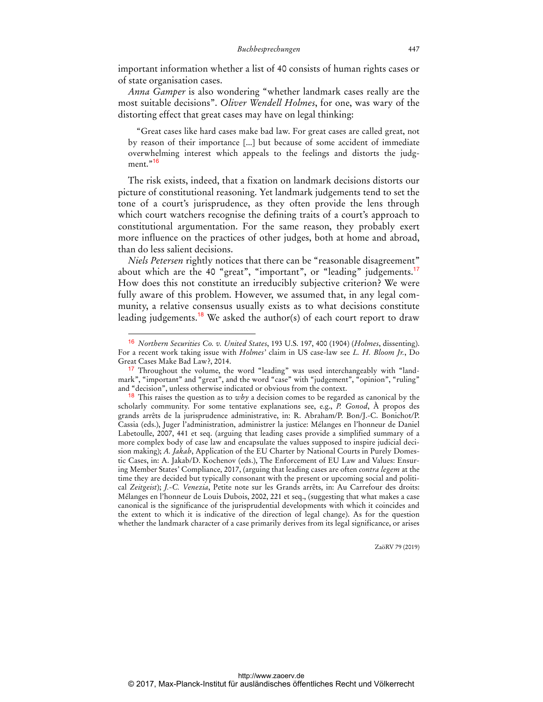important information whether a list of 40 consists of human rights cases or of state organisation cases.

*Anna Gamper* is also wondering "whether landmark cases really are the most suitable decisions". *Oliver Wendell Holmes*, for one, was wary of the distorting effect that great cases may have on legal thinking:

"Great cases like hard cases make bad law. For great cases are called great, not by reason of their importance [...] but because of some accident of immediate overwhelming interest which appeals to the feelings and distorts the judgment."16

The risk exists, indeed, that a fixation on landmark decisions distorts our picture of constitutional reasoning. Yet landmark judgements tend to set the tone of a court's jurisprudence, as they often provide the lens through which court watchers recognise the defining traits of a court's approach to constitutional argumentation. For the same reason, they probably exert more influence on the practices of other judges, both at home and abroad, than do less salient decisions.

*Niels Petersen* rightly notices that there can be "reasonable disagreement" about which are the 40 "great", "important", or "leading" judgements.<sup>17</sup> How does this not constitute an irreducibly subjective criterion? We were fully aware of this problem. However, we assumed that, in any legal community, a relative consensus usually exists as to what decisions constitute leading judgements.<sup>18</sup> We asked the author(s) of each court report to draw

 $\overline{a}$ 

<sup>16</sup> *Northern Securities Co. v. United States*, 193 U.S. 197, 400 (1904) (*Holmes*, dissenting). For a recent work taking issue with *Holmes'* claim in US case-law see *L. H. Bloom Jr.*, Do Great Cases Make Bad Law?, 2014.

<sup>&</sup>lt;sup>17</sup> Throughout the volume, the word "leading" was used interchangeably with "landmark", "important" and "great", and the word "case" with "judgement", "opinion", "ruling" and "decision", unless otherwise indicated or obvious from the context.

<sup>18</sup> This raises the question as to *why* a decision comes to be regarded as canonical by the scholarly community. For some tentative explanations see, e.g., *P. Gonod*, À propos des grands arrêts de la jurisprudence administrative, in: R. Abraham/P. Bon/J.-C. Bonichot/P. Cassia (eds.), Juger l'administration, administrer la justice: Mélanges en l'honneur de Daniel Labetoulle, 2007, 441 et seq. (arguing that leading cases provide a simplified summary of a more complex body of case law and encapsulate the values supposed to inspire judicial decision making); *A. Jakab*, Application of the EU Charter by National Courts in Purely Domestic Cases, in: A. Jakab/D. Kochenov (eds.), The Enforcement of EU Law and Values: Ensuring Member States' Compliance, 2017, (arguing that leading cases are often *contra legem* at the time they are decided but typically consonant with the present or upcoming social and political *Zeitgeist*); *J.-C. Venezia*, Petite note sur les Grands arrêts, in: Au Carrefour des droits: Mélanges en l'honneur de Louis Dubois, 2002, 221 et seq., (suggesting that what makes a case canonical is the significance of the jurisprudential developments with which it coincides and the extent to which it is indicative of the direction of legal change). As for the question whether the landmark character of a case primarily derives from its legal significance, or arises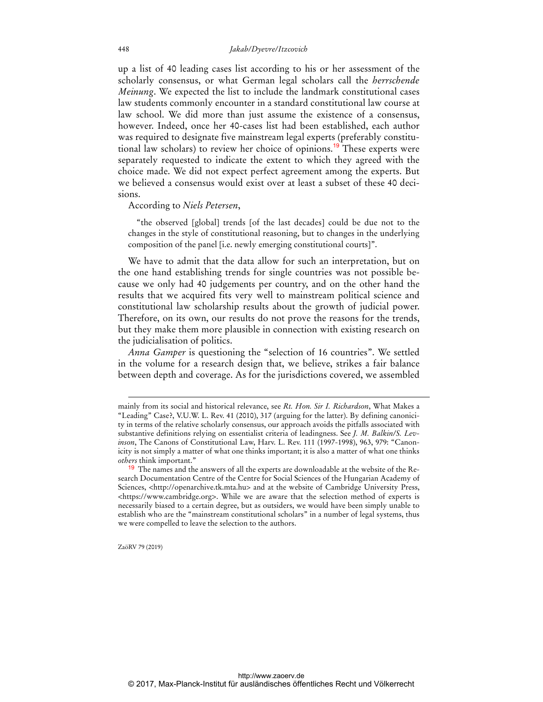up a list of 40 leading cases list according to his or her assessment of the scholarly consensus, or what German legal scholars call the *herrschende Meinung*. We expected the list to include the landmark constitutional cases law students commonly encounter in a standard constitutional law course at law school. We did more than just assume the existence of a consensus, however. Indeed, once her 40-cases list had been established, each author was required to designate five mainstream legal experts (preferably constitutional law scholars) to review her choice of opinions.<sup>19</sup> These experts were separately requested to indicate the extent to which they agreed with the choice made. We did not expect perfect agreement among the experts. But we believed a consensus would exist over at least a subset of these 40 decisions.

#### According to *Niels Petersen*,

"the observed [global] trends [of the last decades] could be due not to the changes in the style of constitutional reasoning, but to changes in the underlying composition of the panel [i.e. newly emerging constitutional courts]".

We have to admit that the data allow for such an interpretation, but on the one hand establishing trends for single countries was not possible because we only had 40 judgements per country, and on the other hand the results that we acquired fits very well to mainstream political science and constitutional law scholarship results about the growth of judicial power. Therefore, on its own, our results do not prove the reasons for the trends, but they make them more plausible in connection with existing research on the judicialisation of politics.

*Anna Gamper* is questioning the "selection of 16 countries". We settled in the volume for a research design that, we believe, strikes a fair balance between depth and coverage. As for the jurisdictions covered, we assembled

ZaöRV 79 (2019)

mainly from its social and historical relevance, see *Rt. Hon. Sir I. Richardson*, What Makes a "Leading" Case?, V.U.W. L. Rev. 41 (2010), 317 (arguing for the latter). By defining canonicity in terms of the relative scholarly consensus, our approach avoids the pitfalls associated with substantive definitions relying on essentialist criteria of leadingness. See *J. M. Balkin/S. Levinson*, The Canons of Constitutional Law, Harv. L. Rev. 111 (1997-1998), 963, 979: "Canonicity is not simply a matter of what one thinks important; it is also a matter of what one thinks *others* think important."

<sup>19</sup> The names and the answers of all the experts are downloadable at the website of the Research Documentation Centre of the Centre for Social Sciences of the Hungarian Academy of Sciences, <http://openarchive.tk.mta.hu> and at the website of Cambridge University Press, <https://www.cambridge.org>. While we are aware that the selection method of experts is necessarily biased to a certain degree, but as outsiders, we would have been simply unable to establish who are the "mainstream constitutional scholars" in a number of legal systems, thus we were compelled to leave the selection to the authors.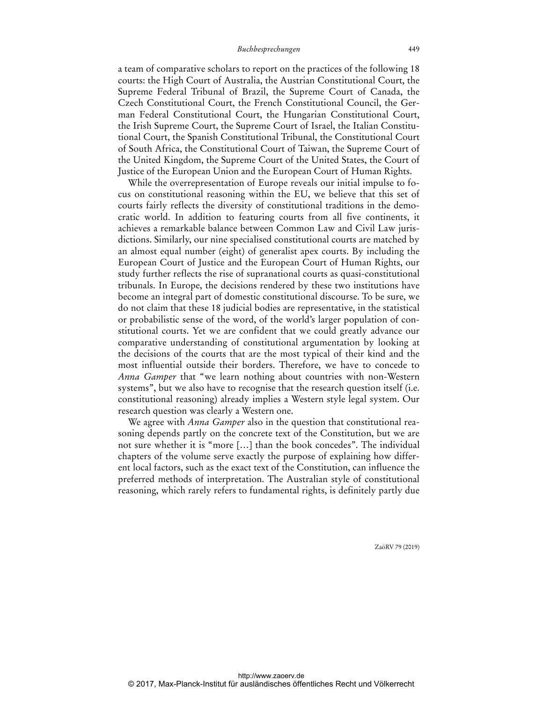a team of comparative scholars to report on the practices of the following 18 courts: the High Court of Australia, the Austrian Constitutional Court, the Supreme Federal Tribunal of Brazil, the Supreme Court of Canada, the Czech Constitutional Court, the French Constitutional Council, the German Federal Constitutional Court, the Hungarian Constitutional Court, the Irish Supreme Court, the Supreme Court of Israel, the Italian Constitutional Court, the Spanish Constitutional Tribunal, the Constitutional Court of South Africa, the Constitutional Court of Taiwan, the Supreme Court of the United Kingdom, the Supreme Court of the United States, the Court of Justice of the European Union and the European Court of Human Rights.

While the overrepresentation of Europe reveals our initial impulse to focus on constitutional reasoning within the EU, we believe that this set of courts fairly reflects the diversity of constitutional traditions in the democratic world. In addition to featuring courts from all five continents, it achieves a remarkable balance between Common Law and Civil Law jurisdictions. Similarly, our nine specialised constitutional courts are matched by an almost equal number (eight) of generalist apex courts. By including the European Court of Justice and the European Court of Human Rights, our study further reflects the rise of supranational courts as quasi-constitutional tribunals. In Europe, the decisions rendered by these two institutions have become an integral part of domestic constitutional discourse. To be sure, we do not claim that these 18 judicial bodies are representative, in the statistical or probabilistic sense of the word, of the world's larger population of constitutional courts. Yet we are confident that we could greatly advance our comparative understanding of constitutional argumentation by looking at the decisions of the courts that are the most typical of their kind and the most influential outside their borders. Therefore, we have to concede to *Anna Gamper* that "we learn nothing about countries with non-Western systems", but we also have to recognise that the research question itself (i.e. constitutional reasoning) already implies a Western style legal system. Our research question was clearly a Western one.

We agree with *Anna Gamper* also in the question that constitutional reasoning depends partly on the concrete text of the Constitution, but we are not sure whether it is "more […] than the book concedes". The individual chapters of the volume serve exactly the purpose of explaining how different local factors, such as the exact text of the Constitution, can influence the preferred methods of interpretation. The Australian style of constitutional reasoning, which rarely refers to fundamental rights, is definitely partly due